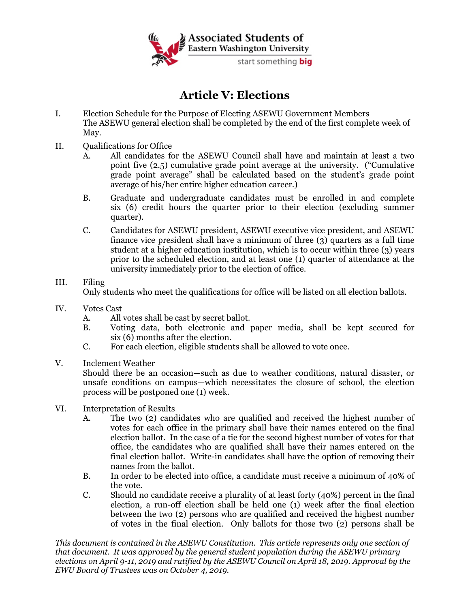

## **Article V: Elections**

- I. Election Schedule for the Purpose of Electing ASEWU Government Members The ASEWU general election shall be completed by the end of the first complete week of May.
- II. Qualifications for Office
	- A. All candidates for the ASEWU Council shall have and maintain at least a two point five (2.5) cumulative grade point average at the university. ("Cumulative grade point average" shall be calculated based on the student's grade point average of his/her entire higher education career.)
	- B. Graduate and undergraduate candidates must be enrolled in and complete six (6) credit hours the quarter prior to their election (excluding summer quarter).
	- C. Candidates for ASEWU president, ASEWU executive vice president, and ASEWU finance vice president shall have a minimum of three (3) quarters as a full time student at a higher education institution, which is to occur within three (3) years prior to the scheduled election, and at least one (1) quarter of attendance at the university immediately prior to the election of office.

## III. Filing

Only students who meet the qualifications for office will be listed on all election ballots.

- IV. Votes Cast
	- A. All votes shall be cast by secret ballot.
	- B. Voting data, both electronic and paper media, shall be kept secured for six (6) months after the election.
	- C. For each election, eligible students shall be allowed to vote once.
- V. Inclement Weather

Should there be an occasion—such as due to weather conditions, natural disaster, or unsafe conditions on campus—which necessitates the closure of school, the election process will be postponed one (1) week.

- VI. Interpretation of Results
	- A. The two (2) candidates who are qualified and received the highest number of votes for each office in the primary shall have their names entered on the final election ballot. In the case of a tie for the second highest number of votes for that office, the candidates who are qualified shall have their names entered on the final election ballot. Write-in candidates shall have the option of removing their names from the ballot.
	- B. In order to be elected into office, a candidate must receive a minimum of 40% of the vote.
	- C. Should no candidate receive a plurality of at least forty (40%) percent in the final election, a run-off election shall be held one (1) week after the final election between the two (2) persons who are qualified and received the highest number of votes in the final election. Only ballots for those two (2) persons shall be

*This document is contained in the ASEWU Constitution. This article represents only one section of that document. It was approved by the general student population during the ASEWU primary elections on April 9-11, 2019 and ratified by the ASEWU Council on April 18, 2019. Approval by the EWU Board of Trustees was on October 4, 2019.*